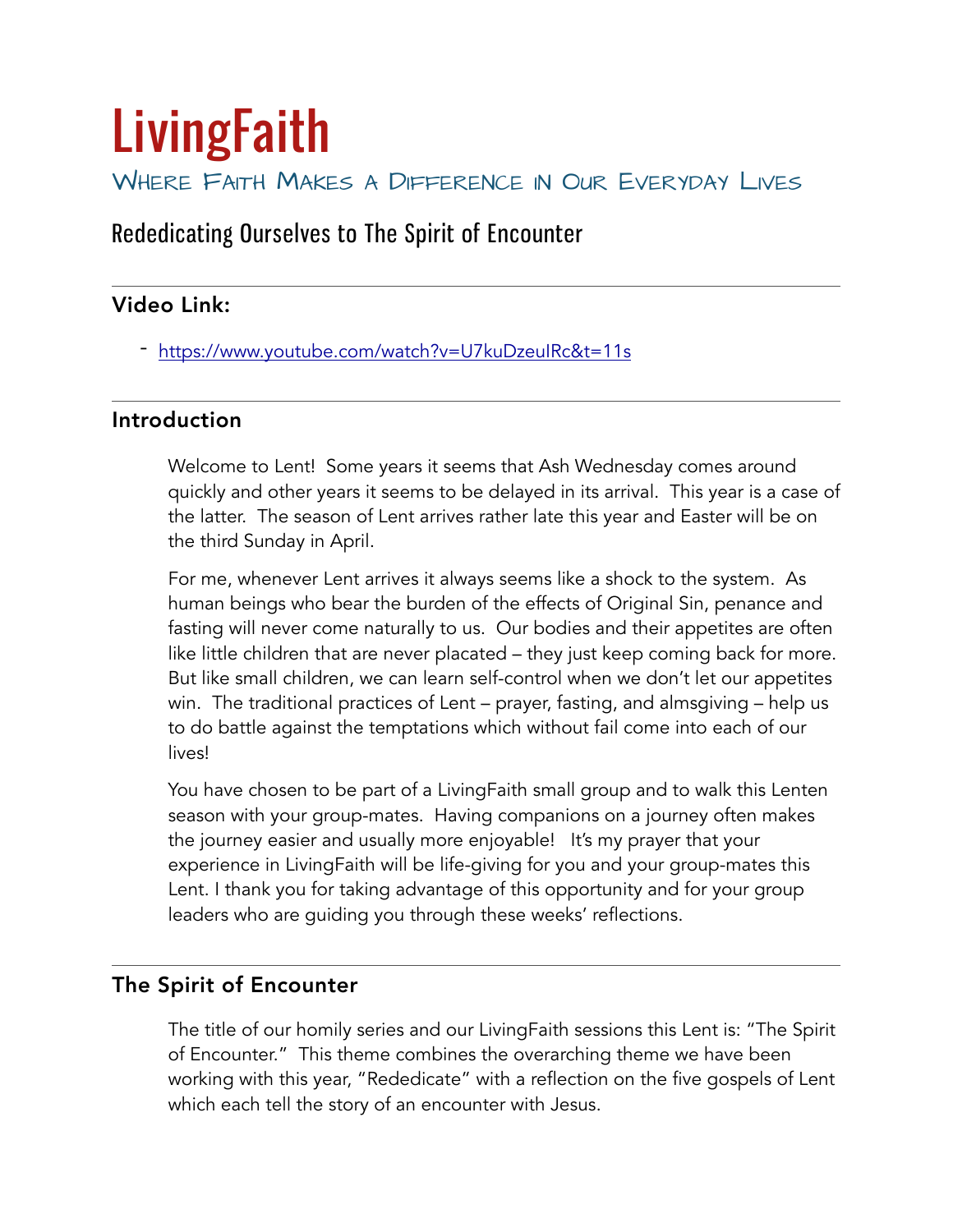# **LivingFaith** WHERE FAITH MAKES A DIFFERENCE IN OUR EVERYDAY LIVES

## Rededicating Ourselves to The Spirit of Encounter

### Video Link:

- <https://www.youtube.com/watch?v=U7kuDzeuIRc&t=11s>

#### Introduction

Welcome to Lent! Some years it seems that Ash Wednesday comes around quickly and other years it seems to be delayed in its arrival. This year is a case of the latter. The season of Lent arrives rather late this year and Easter will be on the third Sunday in April.

For me, whenever Lent arrives it always seems like a shock to the system. As human beings who bear the burden of the effects of Original Sin, penance and fasting will never come naturally to us. Our bodies and their appetites are often like little children that are never placated – they just keep coming back for more. But like small children, we can learn self-control when we don't let our appetites win. The traditional practices of Lent – prayer, fasting, and almsgiving – help us to do battle against the temptations which without fail come into each of our lives!

You have chosen to be part of a LivingFaith small group and to walk this Lenten season with your group-mates. Having companions on a journey often makes the journey easier and usually more enjoyable! It's my prayer that your experience in LivingFaith will be life-giving for you and your group-mates this Lent. I thank you for taking advantage of this opportunity and for your group leaders who are guiding you through these weeks' reflections.

#### The Spirit of Encounter

The title of our homily series and our LivingFaith sessions this Lent is: "The Spirit of Encounter." This theme combines the overarching theme we have been working with this year, "Rededicate" with a reflection on the five gospels of Lent which each tell the story of an encounter with Jesus.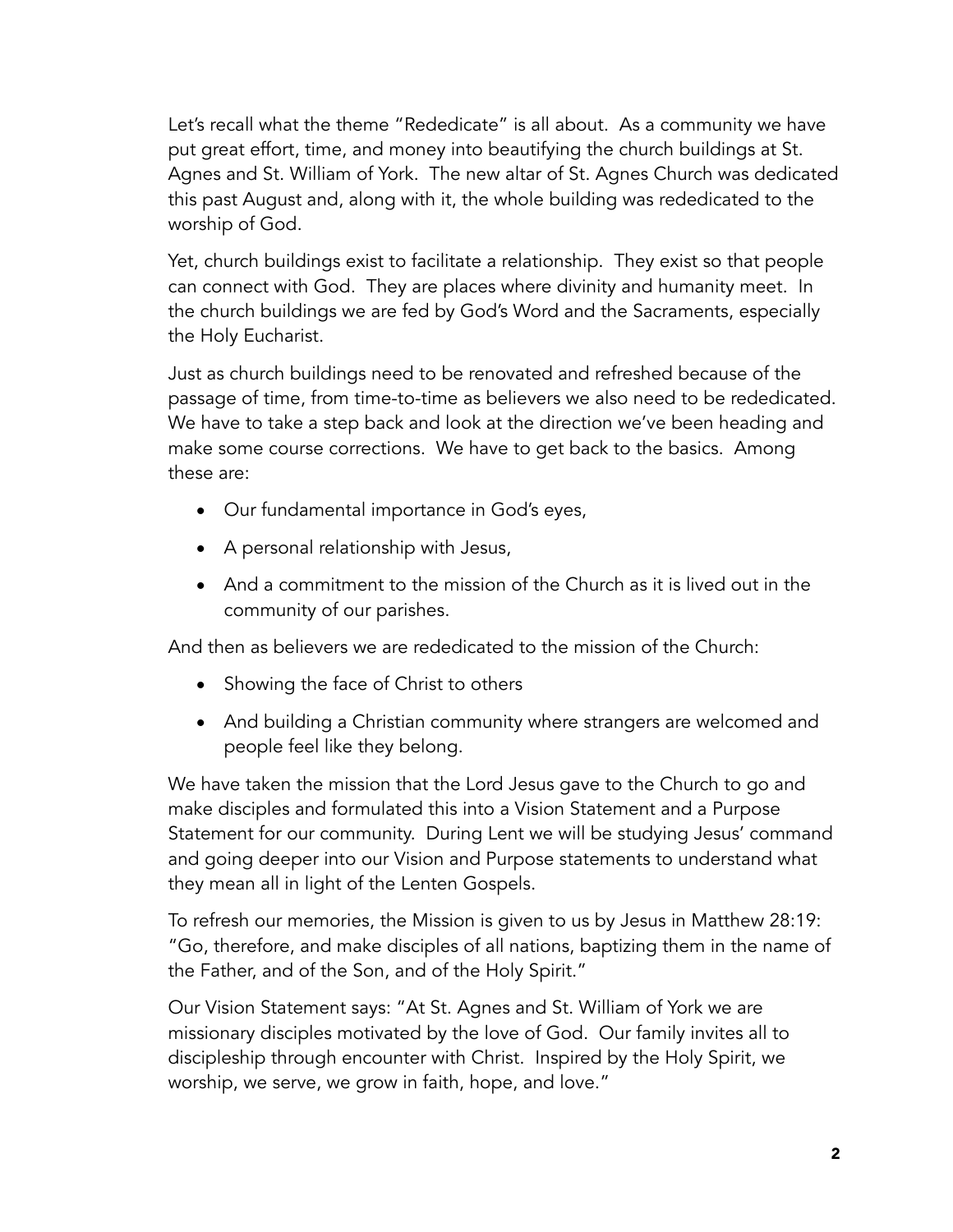Let's recall what the theme "Rededicate" is all about. As a community we have put great effort, time, and money into beautifying the church buildings at St. Agnes and St. William of York. The new altar of St. Agnes Church was dedicated this past August and, along with it, the whole building was rededicated to the worship of God.

Yet, church buildings exist to facilitate a relationship. They exist so that people can connect with God. They are places where divinity and humanity meet. In the church buildings we are fed by God's Word and the Sacraments, especially the Holy Eucharist.

Just as church buildings need to be renovated and refreshed because of the passage of time, from time-to-time as believers we also need to be rededicated. We have to take a step back and look at the direction we've been heading and make some course corrections. We have to get back to the basics. Among these are:

- Our fundamental importance in God's eyes,
- A personal relationship with Jesus,
- And a commitment to the mission of the Church as it is lived out in the community of our parishes.

And then as believers we are rededicated to the mission of the Church:

- Showing the face of Christ to others
- And building a Christian community where strangers are welcomed and people feel like they belong.

We have taken the mission that the Lord Jesus gave to the Church to go and make disciples and formulated this into a Vision Statement and a Purpose Statement for our community. During Lent we will be studying Jesus' command and going deeper into our Vision and Purpose statements to understand what they mean all in light of the Lenten Gospels.

To refresh our memories, the Mission is given to us by Jesus in Matthew 28:19: "Go, therefore, and make disciples of all nations, baptizing them in the name of the Father, and of the Son, and of the Holy Spirit."

Our Vision Statement says: "At St. Agnes and St. William of York we are missionary disciples motivated by the love of God. Our family invites all to discipleship through encounter with Christ. Inspired by the Holy Spirit, we worship, we serve, we grow in faith, hope, and love."